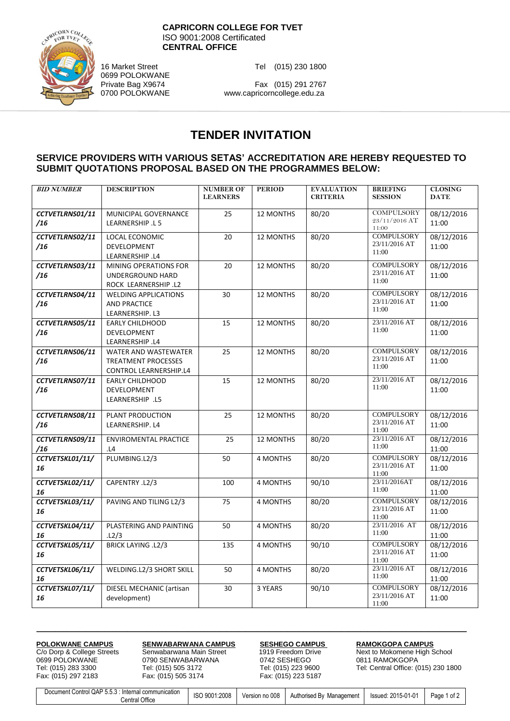

**CAPRICORN COLLEGE FOR TVET** ISO 9001:2008 Certificated **CENTRAL OFFICE**

16 Market Street Tel (015) 230 1800

0699 POLOKWANE

Private Bag X9674 Fax (015) 291 2767<br>0700 POLOKWANE www.capricorncollege.edu.za www.capricorncollege.edu.za

## **TENDER INVITATION**

## **SERVICE PROVIDERS WITH VARIOUS SETAS' ACCREDITATION ARE HEREBY REQUESTED TO SUBMIT QUOTATIONS PROPOSAL BASED ON THE PROGRAMMES BELOW:**

| <b>BID NUMBER</b>      | <b>DESCRIPTION</b>                                                                  | <b>NUMBER OF</b><br><b>LEARNERS</b> | <b>PERIOD</b> | <b>EVALUATION</b><br><b>CRITERIA</b> | <b>BRIEFING</b><br><b>SESSION</b>           | <b>CLOSING</b><br><b>DATE</b> |
|------------------------|-------------------------------------------------------------------------------------|-------------------------------------|---------------|--------------------------------------|---------------------------------------------|-------------------------------|
| CCTVETLRNS01/11<br>/16 | MUNICIPAL GOVERNANCE<br>LEARNERSHIP .L 5                                            | 25                                  | 12 MONTHS     | 80/20                                | COMPULSORY<br>23/11/2016 AT<br>11:00        | 08/12/2016<br>11:00           |
| CCTVETLRNS02/11<br>/16 | LOCAL ECONOMIC<br>DEVELOPMENT<br>LEARNERSHIP .L4                                    | 20                                  | 12 MONTHS     | 80/20                                | <b>COMPULSORY</b><br>23/11/2016 AT<br>11:00 | 08/12/2016<br>11:00           |
| CCTVETLRNS03/11<br>/16 | MINING OPERATIONS FOR<br>UNDERGROUND HARD<br>ROCK LEARNERSHIP .L2                   | 20                                  | 12 MONTHS     | 80/20                                | <b>COMPULSORY</b><br>23/11/2016 AT<br>11:00 | 08/12/2016<br>11:00           |
| CCTVETLRNS04/11<br>/16 | <b>WELDING APPLICATIONS</b><br><b>AND PRACTICE</b><br>LEARNERSHIP. L3               | 30                                  | 12 MONTHS     | 80/20                                | <b>COMPULSORY</b><br>23/11/2016 AT<br>11:00 | 08/12/2016<br>11:00           |
| CCTVETLRNS05/11<br>/16 | EARLY CHILDHOOD<br>DEVELOPMENT<br>LEARNERSHIP .L4                                   | 15                                  | 12 MONTHS     | 80/20                                | 23/11/2016 AT<br>11:00                      | 08/12/2016<br>11:00           |
| CCTVETLRNS06/11<br>/16 | WATER AND WASTEWATER<br><b>TREATMENT PROCESSES</b><br><b>CONTROL LEARNERSHIP.L4</b> | 25                                  | 12 MONTHS     | 80/20                                | <b>COMPULSORY</b><br>23/11/2016 AT<br>11:00 | 08/12/2016<br>11:00           |
| CCTVETLRNS07/11<br>/16 | <b>EARLY CHILDHOOD</b><br>DEVELOPMENT<br>LEARNERSHIP .L5                            | 15                                  | 12 MONTHS     | 80/20                                | 23/11/2016 AT<br>11:00                      | 08/12/2016<br>11:00           |
| CCTVETLRNS08/11<br>/16 | PLANT PRODUCTION<br>LEARNERSHIP. L4                                                 | 25                                  | 12 MONTHS     | 80/20                                | <b>COMPULSORY</b><br>23/11/2016 AT<br>11:00 | 08/12/2016<br>11:00           |
| CCTVETLRNS09/11<br>/16 | <b>ENVIROMENTAL PRACTICE</b><br>L4                                                  | 25                                  | 12 MONTHS     | 80/20                                | 23/11/2016 AT<br>11:00                      | 08/12/2016<br>11:00           |
| CCTVETSKL01/11/<br>16  | PLUMBING.L2/3                                                                       | 50                                  | 4 MONTHS      | 80/20                                | <b>COMPULSORY</b><br>23/11/2016 AT<br>11:00 | 08/12/2016<br>11:00           |
| CCTVETSKL02/11/<br>16  | CAPENTRY .L2/3                                                                      | 100                                 | 4 MONTHS      | 90/10                                | 23/11/2016AT<br>11:00                       | 08/12/2016<br>11:00           |
| CCTVETSKL03/11/<br>16  | PAVING AND TILING L2/3                                                              | 75                                  | 4 MONTHS      | 80/20                                | <b>COMPULSORY</b><br>23/11/2016 AT<br>11:00 | 08/12/2016<br>11:00           |
| CCTVETSKL04/11/<br>16  | PLASTERING AND PAINTING<br>L2/3                                                     | 50                                  | 4 MONTHS      | 80/20                                | 23/11/2016 AT<br>11:00                      | 08/12/2016<br>11:00           |
| CCTVETSKL05/11/<br>16  | <b>BRICK LAYING .L2/3</b>                                                           | 135                                 | 4 MONTHS      | 90/10                                | <b>COMPULSORY</b><br>23/11/2016 AT<br>11:00 | 08/12/2016<br>11:00           |
| CCTVETSKL06/11/<br>16  | WELDING.L2/3 SHORT SKILL                                                            | 50                                  | 4 MONTHS      | 80/20                                | 23/11/2016 AT<br>11:00                      | 08/12/2016<br>11:00           |
| CCTVETSKL07/11/<br>16  | DIESEL MECHANIC (artisan<br>development)                                            | 30                                  | 3 YEARS       | 90/10                                | <b>COMPULSORY</b><br>23/11/2016 AT<br>11:00 | 08/12/2016<br>11:00           |

**POLOKWANE CAMPUS SENWABARWANA CAMPUS SESHEGO CAMPUS RAMOKGOPA CAMPUS** C/o Dorp & College Streets Senwabarwana Main Street 1919 Freedom Drive **RAMOKGOPA CAMPUS** 0699 POLOKWANE 0790 SENWABARWANA 0742 SESHEGO 0811 RAMOKGOPA Tel: (015) 283 3300 Tel: (015) 505 3172 Tel: (015) 223 9600 Tel: Central Office: (015) 230 1800 Fax: (015) 505 3174

C/o Dorp & College Streets Senwabarwana Main Street 1919 Freedom Drive Next to Mokomene High School<br>0699 POLOKWANE 0790 SENWABARWANA 0742 SESHEGO 0811 RAMOKGOPA

| Document Control QAP 5.5.3 :<br>: Internal communication | ISO 9001:2008 | Version no 008 | Authorised By Management | lssued: 2015-01-01 | Page 1 of ' |
|----------------------------------------------------------|---------------|----------------|--------------------------|--------------------|-------------|
| Office<br>Central                                        |               |                |                          |                    |             |

**\_\_\_\_\_\_\_\_\_\_\_\_\_\_\_\_\_\_\_\_\_\_\_\_\_\_\_\_\_\_\_\_\_\_\_\_\_\_\_\_\_\_\_\_\_\_\_\_\_\_\_\_\_\_\_\_\_\_\_\_\_\_\_\_\_\_\_\_\_\_\_\_\_\_\_\_\_\_\_\_\_\_\_\_\_\_\_\_\_\_\_\_\_\_\_\_\_\_\_\_\_\_\_\_\_\_\_\_\_\_\_\_\_**